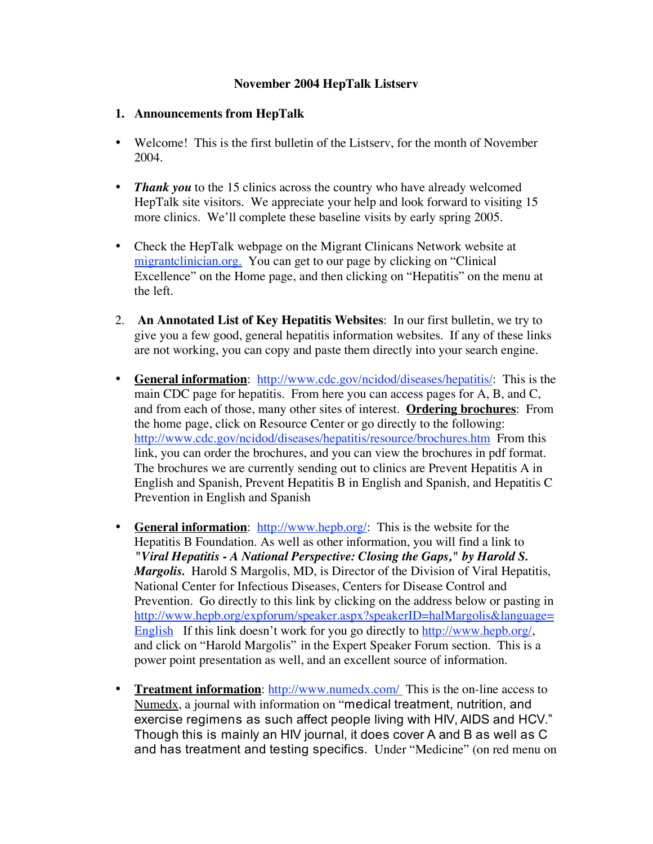## **November 2004 HepTalk Listserv**

## **1. Announcements from HepTalk**

- Welcome! This is the first bulletin of the Listsery, for the month of November 2004.
- *Thank you* to the 15 clinics across the country who have already welcomed HepTalk site visitors. We appreciate your help and look forward to visiting 15 more clinics. We'll complete these baseline visits by early spring 2005.
- Check the HepTalk webpage on the Migrant Clinicans Network website at migrantclinician.org. You can get to our page by clicking on "Clinical" Excellence" on the Home page, and then clicking on "Hepatitis" on the menu at the left.
- 2. **An Annotated List of Key Hepatitis Websites**: In our first bulletin, we try to give you a few good, general hepatitis information websites. If any of these links are not working, you can copy and paste them directly into your search engine.
- **General information**: http://www.cdc.gov/ncidod/diseases/hepatitis/: This is the main CDC page for hepatitis. From here you can access pages for A, B, and C, and from each of those, many other sites of interest. **Ordering brochures**: From the home page, click on Resource Center or go directly to the following: http://www.cdc.gov/ncidod/diseases/hepatitis/resource/brochures.htm From this link, you can order the brochures, and you can view the brochures in pdf format. The brochures we are currently sending out to clinics are Prevent Hepatitis A in English and Spanish, Prevent Hepatitis B in English and Spanish, and Hepatitis C Prevention in English and Spanish
- **General information**: http://www.hepb.org/: This is the website for the Hepatitis B Foundation. As well as other information, you will find a link to *"Viral Hepatitis - A National Perspective: Closing the Gaps," by Harold S. Margolis.* Harold S Margolis, MD, is Director of the Division of Viral Hepatitis, National Center for Infectious Diseases, Centers for Disease Control and Prevention. Go directly to this link by clicking on the address below or pasting in http://www.hepb.org/expforum/speaker.aspx?speakerID=halMargolis&language= English If this link doesn't work for you go directly to http://www.hepb.org/, and click on "Harold Margolis" in the Expert Speaker Forum section. This is a power point presentation as well, and an excellent source of information.
- **Treatment information**: http://www.numedx.com/ This is the on-line access to Numedx, a journal with information on "medical treatment, nutrition, and exercise regimens as such affect people living with HIV, AIDS and HCV." Though this is mainly an HIV journal, it does cover A and B as well as C and has treatment and testing specifics. Under "Medicine" (on red menu on